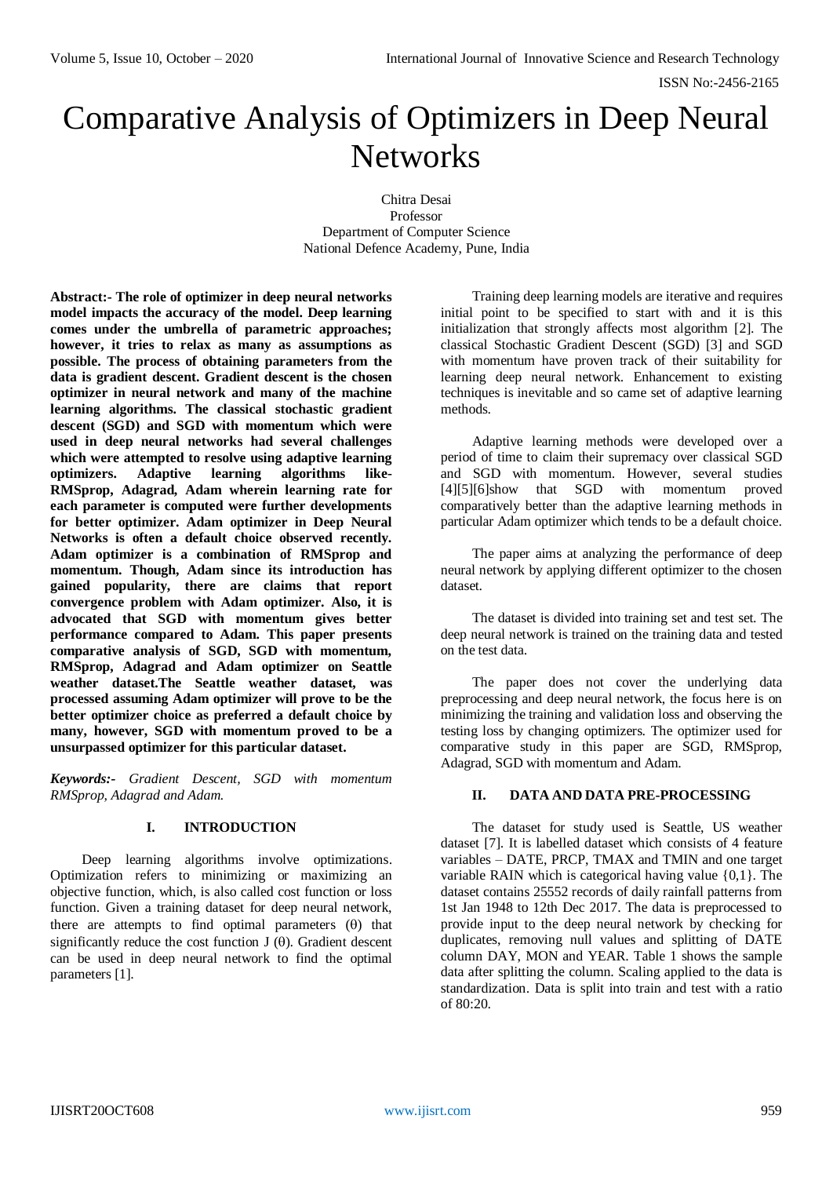ISSN No:-2456-2165

# Comparative Analysis of Optimizers in Deep Neural **Networks**

Chitra Desai Professor Department of Computer Science National Defence Academy, Pune, India

**Abstract:- The role of optimizer in deep neural networks model impacts the accuracy of the model. Deep learning comes under the umbrella of parametric approaches; however, it tries to relax as many as assumptions as possible. The process of obtaining parameters from the data is gradient descent. Gradient descent is the chosen optimizer in neural network and many of the machine learning algorithms. The classical [stochastic gradient](https://towardsdatascience.com/stochastic-gradient-descent-with-momentum-a84097641a5d)  [descent](https://towardsdatascience.com/stochastic-gradient-descent-with-momentum-a84097641a5d) (SGD) and SGD with momentum which were used in deep neural networks had several challenges which were attempted to resolve using adaptive learning optimizers. Adaptive learning algorithms like-RMSprop, Adagrad, Adam wherein learning rate for each parameter is computed were further developments for better optimizer. Adam optimizer in Deep Neural Networks is often a default choice observed recently. Adam optimizer is a combination of RMSprop and momentum. Though, Adam since its introduction has gained popularity, there are claims that report convergence problem with Adam optimizer. Also, it is advocated that SGD with momentum gives better performance compared to Adam. This paper presents comparative analysis of SGD, SGD with momentum, RMSprop, Adagrad and Adam optimizer on Seattle weather dataset.The Seattle weather dataset, was processed assuming Adam optimizer will prove to be the better optimizer choice as preferred a default choice by many, however, SGD with momentum proved to be a unsurpassed optimizer for this particular dataset.**

*Keywords:- Gradient Descent, SGD with momentum RMSprop, Adagrad and Adam.*

## **I. INTRODUCTION**

Deep learning algorithms involve optimizations. Optimization refers to minimizing or maximizing an objective function, which, is also called cost function or loss function. Given a training dataset for deep neural network, there are attempts to find optimal parameters  $(\theta)$  that significantly reduce the cost function  $J(\theta)$ . Gradient descent can be used in deep neural network to find the optimal parameters [1].

Training deep learning models are iterative and requires initial point to be specified to start with and it is this initialization that strongly affects most algorithm [2]. The classical Stochastic Gradient Descent (SGD) [3] and SGD with momentum have proven track of their suitability for learning deep neural network. Enhancement to existing techniques is inevitable and so came set of adaptive learning methods.

Adaptive learning methods were developed over a period of time to claim their supremacy over classical SGD and SGD with momentum. However, several studies [4][5][6]show that SGD with momentum proved comparatively better than the adaptive learning methods in particular Adam optimizer which tends to be a default choice.

The paper aims at analyzing the performance of deep neural network by applying different optimizer to the chosen dataset.

The dataset is divided into training set and test set. The deep neural network is trained on the training data and tested on the test data.

The paper does not cover the underlying data preprocessing and deep neural network, the focus here is on minimizing the training and validation loss and observing the testing loss by changing optimizers. The optimizer used for comparative study in this paper are SGD, RMSprop, Adagrad, SGD with momentum and Adam.

# **II. DATA AND DATA PRE-PROCESSING**

The dataset for study used is Seattle, US weather dataset [7]. It is labelled dataset which consists of 4 feature variables – DATE, PRCP, TMAX and TMIN and one target variable RAIN which is categorical having value {0,1}. The dataset contains 25552 records of daily rainfall patterns from 1st Jan 1948 to 12th Dec 2017. The data is preprocessed to provide input to the deep neural network by checking for duplicates, removing null values and splitting of DATE column DAY, MON and YEAR. Table 1 shows the sample data after splitting the column. Scaling applied to the data is standardization. Data is split into train and test with a ratio of 80:20.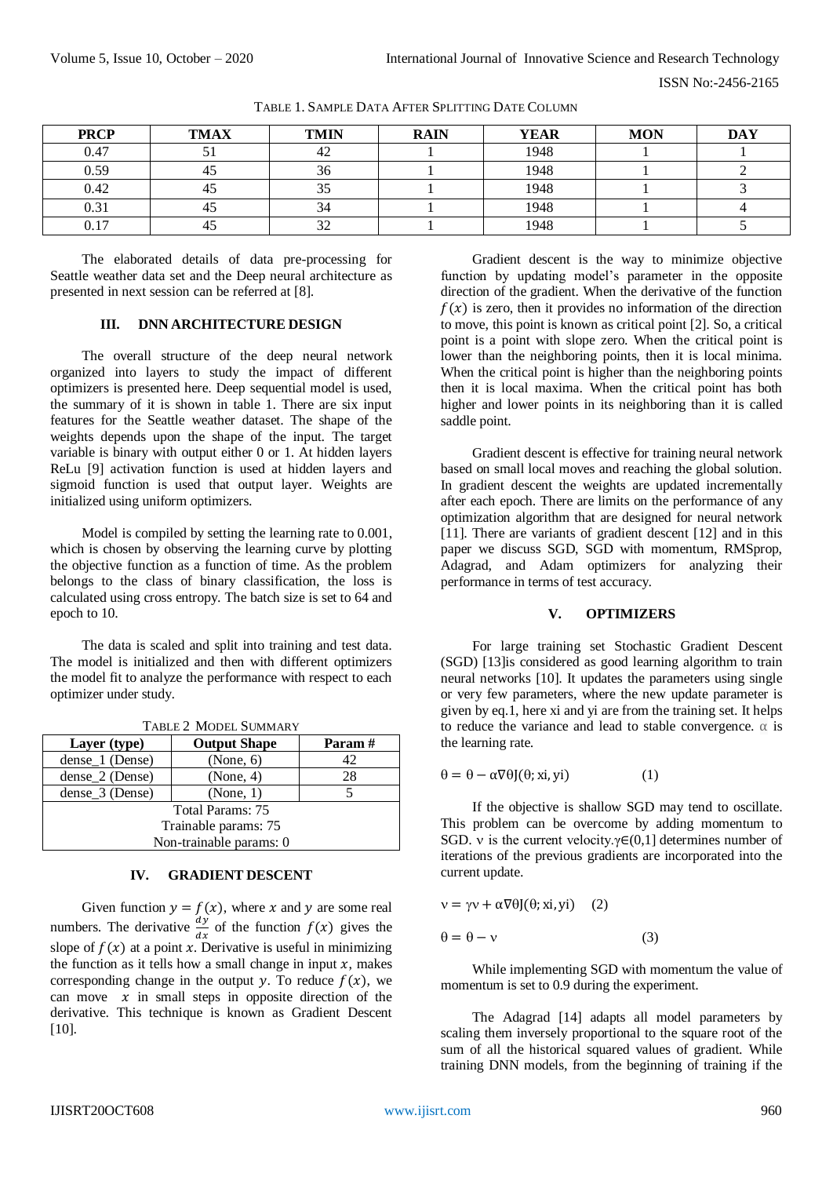| <b>PRCP</b> | <b>TMAX</b> | <b>TMIN</b> | <b>RAIN</b> | <b>YEAR</b> | <b>MON</b> | <b>DAY</b> |
|-------------|-------------|-------------|-------------|-------------|------------|------------|
| 0.47        | JІ          | 42          |             | 1948        |            |            |
| 0.59        | 45          | 36          |             | 1948        |            |            |
| 0.42        | 45          | 33          |             | 1948        |            |            |
| 0.31        | 45          | 34          |             | 1948        |            |            |
| 0.17        | 45          | າາ<br>JΖ    |             | 1948        |            |            |

TABLE 1. SAMPLE DATA AFTER SPLITTING DATE COLUMN

The elaborated details of data pre-processing for Seattle weather data set and the Deep neural architecture as presented in next session can be referred at [8].

#### **III. DNN ARCHITECTURE DESIGN**

The overall structure of the deep neural network organized into layers to study the impact of different optimizers is presented here. Deep sequential model is used, the summary of it is shown in table 1. There are six input features for the Seattle weather dataset. The shape of the weights depends upon the shape of the input. The target variable is binary with output either 0 or 1. At hidden layers ReLu [9] activation function is used at hidden layers and sigmoid function is used that output layer. Weights are initialized using uniform optimizers.

Model is compiled by setting the learning rate to 0.001, which is chosen by observing the learning curve by plotting the objective function as a function of time. As the problem belongs to the class of binary classification, the loss is calculated using cross entropy. The batch size is set to 64 and epoch to 10.

The data is scaled and split into training and test data. The model is initialized and then with different optimizers the model fit to analyze the performance with respect to each optimizer under study.

| $1$ ADLL $2$ -NIODLL DOMINART |                     |        |  |  |  |
|-------------------------------|---------------------|--------|--|--|--|
| Layer (type)                  | <b>Output Shape</b> | Param# |  |  |  |
| dense_1 (Dense)               | (None, 6)           | 42     |  |  |  |
| dense_2 (Dense)               | (None, 4)           | 28     |  |  |  |
| dense_3 (Dense)               | (None, 1)           |        |  |  |  |
| <b>Total Params: 75</b>       |                     |        |  |  |  |
| Trainable params: 75          |                     |        |  |  |  |
| Non-trainable params: 0       |                     |        |  |  |  |
|                               |                     |        |  |  |  |

TABLE 2 MODEL SUMMARY

## **IV. GRADIENT DESCENT**

Given function  $y = f(x)$ , where x and y are some real numbers. The derivative  $\frac{dy}{dx}$  of the function  $f(x)$  gives the slope of  $f(x)$  at a point x. Derivative is useful in minimizing the function as it tells how a small change in input  $x$ , makes corresponding change in the output y. To reduce  $f(x)$ , we can move  $x$  in small steps in opposite direction of the derivative. This technique is known as Gradient Descent [10].

Gradient descent is the way to minimize objective function by updating model's parameter in the opposite direction of the gradient. When the derivative of the function  $f(x)$  is zero, then it provides no information of the direction to move, this point is known as critical point [2]. So, a critical point is a point with slope zero. When the critical point is lower than the neighboring points, then it is local minima. When the critical point is higher than the neighboring points then it is local maxima. When the critical point has both higher and lower points in its neighboring than it is called saddle point.

Gradient descent is effective for training neural network based on small local moves and reaching the global solution. In gradient descent the weights are updated incrementally after each epoch. There are limits on the performance of any optimization algorithm that are designed for neural network [11]. There are variants of gradient descent [12] and in this paper we discuss SGD, SGD with momentum, RMSprop, Adagrad, and Adam optimizers for analyzing their performance in terms of test accuracy.

#### **V. OPTIMIZERS**

For large training set Stochastic Gradient Descent (SGD) [13]is considered as good learning algorithm to train neural networks [10]. It updates the parameters using single or very few parameters, where the new update parameter is given by eq.1, here xi and yi are from the training set. It helps to reduce the variance and lead to stable convergence.  $\alpha$  is the learning rate.

$$
\theta = \theta - \alpha \nabla \theta J(\theta; xi, yi) \tag{1}
$$

If the objective is shallow SGD may tend to oscillate. This problem can be overcome by adding momentum to SGD. v is the current velocity. $\gamma \in (0,1]$  determines number of iterations of the previous gradients are incorporated into the current update.

$$
v = \gamma v + \alpha \nabla \theta J(\theta; xi, yi) \quad (2)
$$

$$
\theta = \theta - \nu \tag{3}
$$

While implementing SGD with momentum the value of momentum is set to 0.9 during the experiment.

The Adagrad [14] adapts all model parameters by scaling them inversely proportional to the square root of the sum of all the historical squared values of gradient. While training DNN models, from the beginning of training if the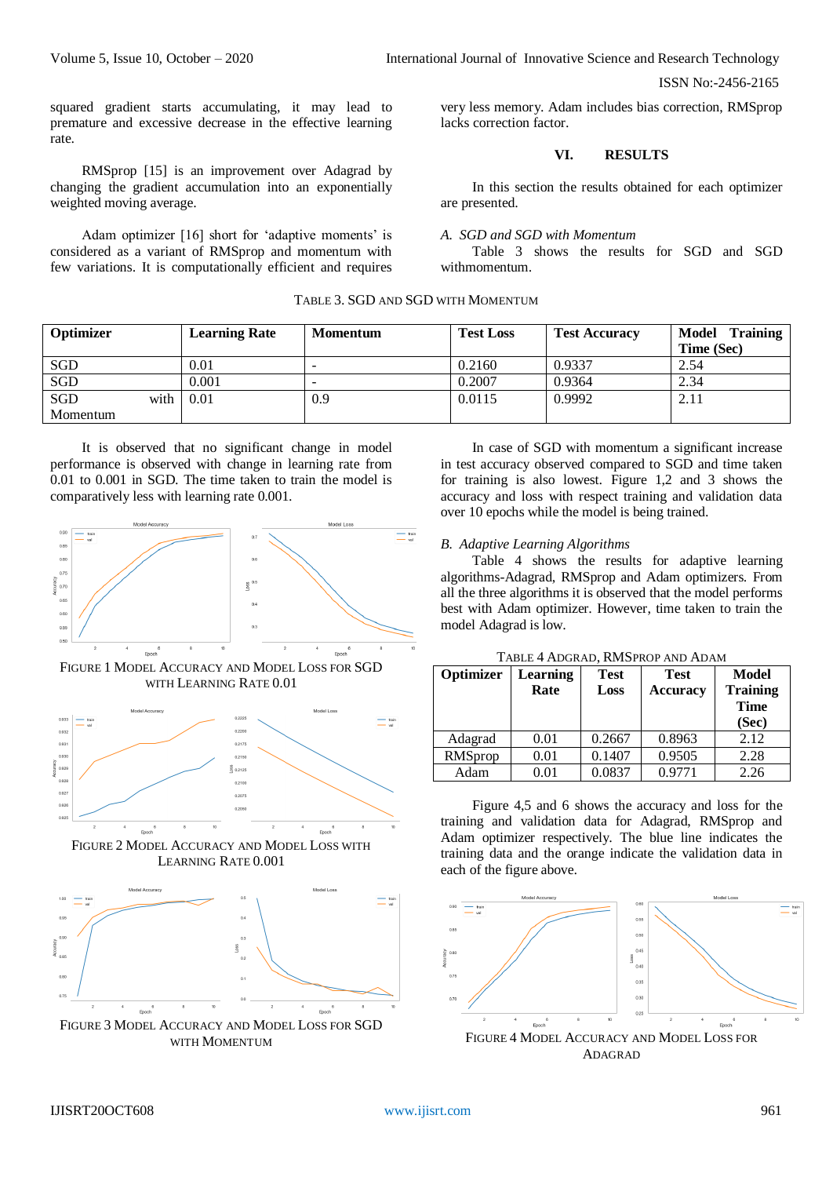Volume 5, Issue 10, October – 2020 **International Journal of Innovative Science and Research Technology** 

ISSN No:-2456-2165

squared gradient starts accumulating, it may lead to premature and excessive decrease in the effective learning rate.

RMSprop [15] is an improvement over Adagrad by changing the gradient accumulation into an exponentially weighted moving average.

Adam optimizer [16] short for 'adaptive moments' is considered as a variant of RMSprop and momentum with few variations. It is computationally efficient and requires

very less memory. Adam includes bias correction, RMSprop lacks correction factor.

# **VI. RESULTS**

In this section the results obtained for each optimizer are presented.

## *A. SGD and SGD with Momentum*

Table 3 shows the results for SGD and SGD withmomentum.

## TABLE 3. SGD AND SGD WITH MOMENTUM

| Optimizer  |        | <b>Learning Rate</b> | Momentum                 | <b>Test Loss</b> | <b>Test Accuracy</b> | Model Training<br>Time (Sec) |
|------------|--------|----------------------|--------------------------|------------------|----------------------|------------------------------|
| SGD        |        | 0.01                 | $\overline{\phantom{0}}$ | 0.2160           | 0.9337               | 2.54                         |
| SGD        |        | 0.001                | -                        | 0.2007           | 0.9364               | 2.34                         |
| <b>SGD</b> | with I | 0.01                 | 0.9                      | 0.0115           | 0.9992               | 2.11                         |
| Momentum   |        |                      |                          |                  |                      |                              |

It is observed that no significant change in model performance is observed with change in learning rate from 0.01 to 0.001 in SGD. The time taken to train the model is comparatively less with learning rate 0.001.



FIGURE 1 MODEL ACCURACY AND MODEL LOSS FOR SGD WITH LEARNING RATE 0.01







WITH MOMENTUM

In case of SGD with momentum a significant increase in test accuracy observed compared to SGD and time taken for training is also lowest. Figure 1,2 and 3 shows the accuracy and loss with respect training and validation data over 10 epochs while the model is being trained.

## *B. Adaptive Learning Algorithms*

Table 4 shows the results for adaptive learning algorithms-Adagrad, RMSprop and Adam optimizers. From all the three algorithms it is observed that the model performs best with Adam optimizer. However, time taken to train the model Adagrad is low.

| Optimizer | Learning   | <b>Test</b> | <b>Test</b>     | Model           |
|-----------|------------|-------------|-----------------|-----------------|
|           | Rate       | Loss        | <b>Accuracy</b> | <b>Training</b> |
|           |            |             |                 | <b>Time</b>     |
|           |            |             |                 | (Sec)           |
| Adagrad   | 0.01       | 0.2667      | 0.8963          | 2.12            |
| RMSprop   | 0.01       | 0.1407      | 0.9505          | 2.28            |
| Adam      | $\rm 0.01$ | 0.0837      | 0.9771          | 2.26            |

Figure 4,5 and 6 shows the accuracy and loss for the training and validation data for Adagrad, RMSprop and Adam optimizer respectively. The blue line indicates the training data and the orange indicate the validation data in each of the figure above.



FIGURE 4 MODEL ACCURACY AND MODEL LOSS FOR ADAGRAD